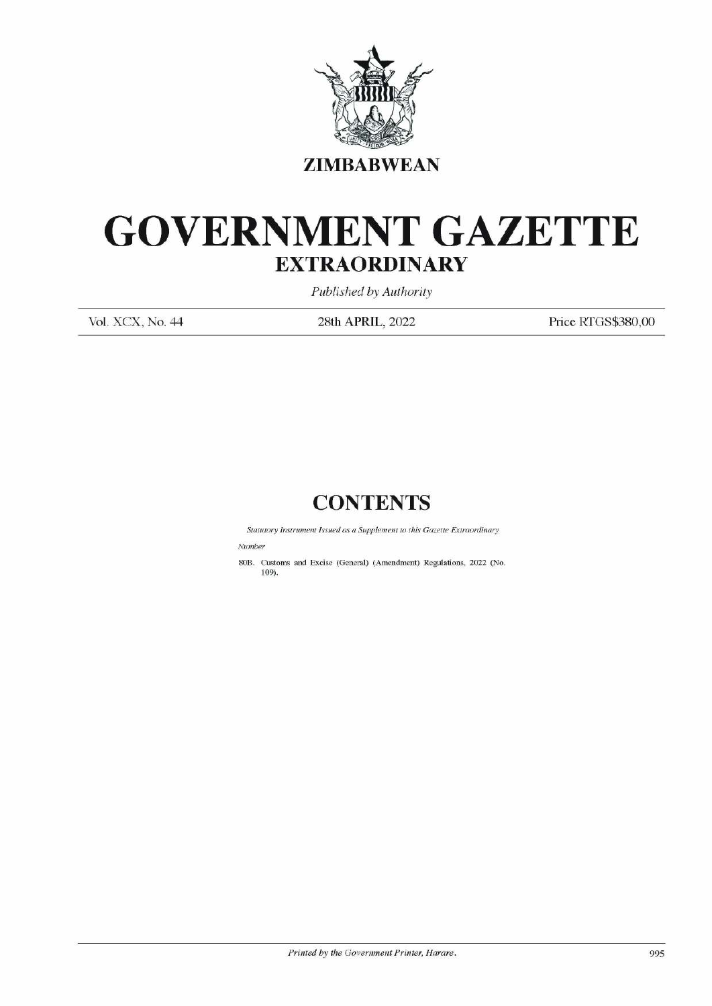

## GOVERNMENT GAZETTE EXTRAORDINARY EXTRAOR EXTRAOR EXTRAOR SOLUTE EXTRAOR Published to Published the Published to Published the Published to  $\frac{P1}{28\text{th APR}}$

Published by Authority

Vol. XCX, No. 44 28th APRIL, 2022 Price RTGS\$380,00

## **CONTENTS**

Statutory Instrument Issued as a Supplement to this Gazette Extraordinary

Number

80B. Customs and Excise (General) (Amendment) Regulations, 2022 (No. 109).  $\label{eq:1} \text{Sunitor} \textit{Sinnber}$  Suntary Instrument Issued as a Sup<br>Number<br>109).<br> $\begin{align*} \text{Coulomb} \textbf{1} \text{ (19)} \text{ (19)} \text{ (19)} \text{ (19)} \text{ (19)} \text{ (19)} \text{ (19)} \text{ (19)} \text{ (19)} \text{ (19)} \text{ (19)} \text{ (19)} \text{ (19)} \text{ (19)} \text{ (19)} \text{ (19)} \text{ (19)} \text{ (19)} \text$